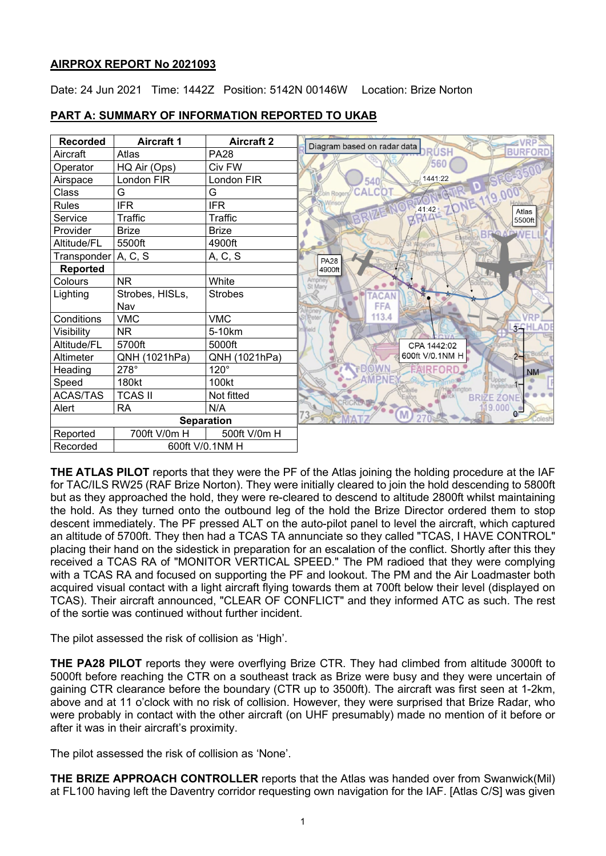### **AIRPROX REPORT No 2021093**

Date: 24 Jun 2021 Time: 1442Z Position: 5142N 00146W Location: Brize Norton

| <b>Recorded</b>     | <b>Aircraft 1</b> | <b>Aircraft 2</b> | Diagram based on radar data   |
|---------------------|-------------------|-------------------|-------------------------------|
| Aircraft            | Atlas             | <b>PA28</b>       | <b>RÚSH</b><br><b>BURFORD</b> |
| Operator            | HQ Air (Ops)      | Civ FW            | 560                           |
| Airspace            | London FIR        | London FIR        | 1441:22<br>540                |
| Class               | G                 | G                 | <b>CALCOT</b><br>Coln Roge    |
| Rules               | <b>IFR</b>        | <b>IFR</b>        | 41:42<br>Atlas                |
| Service             | Traffic           | Traffic           | 5500ft                        |
| Provider            | <b>Brize</b>      | <b>Brize</b>      | <b>AP WE</b>                  |
| Altitude/FL         | 5500ft            | 4900ft            |                               |
| Transponder A, C, S |                   | A, C, S           | <b>PA28</b>                   |
| Reported            |                   |                   | 4900ft                        |
| Colours             | <b>NR</b>         | White             | Ampney<br>St Mary             |
| Lighting            | Strobes, HISLs,   | <b>Strobes</b>    | <b>ACAN</b>                   |
|                     | Nav               |                   | FFA                           |
| Conditions          | <b>VMC</b>        | <b>VMC</b>        | 113.4<br>Peter                |
| Visibility          | <b>NR</b>         | 5-10km            | <b>FCHL</b><br>Trield         |
| Altitude/FL         | 5700ft            | 5000ft            | CPA 1442:02                   |
| Altimeter           | QNH (1021hPa)     | QNH (1021hPa)     | 600ft V/0.1NM H<br>$2 -$      |
| Heading             | 278°              | $120^\circ$       | <b>RFORD</b><br><b>NM</b>     |
| Speed               | 180kt             | 100kt             | Upper                         |
| <b>ACAS/TAS</b>     | <b>TCAS II</b>    | Not fitted        | <b>BRIZE ZONE</b>             |
| Alert               | <b>RA</b>         | N/A               | 9.000<br>M                    |
| <b>Separation</b>   |                   |                   |                               |
| Reported            | 700ft V/0m H      | 500ft V/0m H      |                               |
| Recorded            | 600ft V/0.1NM H   |                   |                               |

## **PART A: SUMMARY OF INFORMATION REPORTED TO UKAB**

**THE ATLAS PILOT** reports that they were the PF of the Atlas joining the holding procedure at the IAF for TAC/ILS RW25 (RAF Brize Norton). They were initially cleared to join the hold descending to 5800ft but as they approached the hold, they were re-cleared to descend to altitude 2800ft whilst maintaining the hold. As they turned onto the outbound leg of the hold the Brize Director ordered them to stop descent immediately. The PF pressed ALT on the auto-pilot panel to level the aircraft, which captured an altitude of 5700ft. They then had a TCAS TA annunciate so they called "TCAS, I HAVE CONTROL" placing their hand on the sidestick in preparation for an escalation of the conflict. Shortly after this they received a TCAS RA of "MONITOR VERTICAL SPEED." The PM radioed that they were complying with a TCAS RA and focused on supporting the PF and lookout. The PM and the Air Loadmaster both acquired visual contact with a light aircraft flying towards them at 700ft below their level (displayed on TCAS). Their aircraft announced, "CLEAR OF CONFLICT" and they informed ATC as such. The rest of the sortie was continued without further incident.

The pilot assessed the risk of collision as 'High'.

**THE PA28 PILOT** reports they were overflying Brize CTR. They had climbed from altitude 3000ft to 5000ft before reaching the CTR on a southeast track as Brize were busy and they were uncertain of gaining CTR clearance before the boundary (CTR up to 3500ft). The aircraft was first seen at 1-2km, above and at 11 o'clock with no risk of collision. However, they were surprised that Brize Radar, who were probably in contact with the other aircraft (on UHF presumably) made no mention of it before or after it was in their aircraft's proximity.

The pilot assessed the risk of collision as 'None'.

**THE BRIZE APPROACH CONTROLLER** reports that the Atlas was handed over from Swanwick(Mil) at FL100 having left the Daventry corridor requesting own navigation for the IAF. [Atlas C/S] was given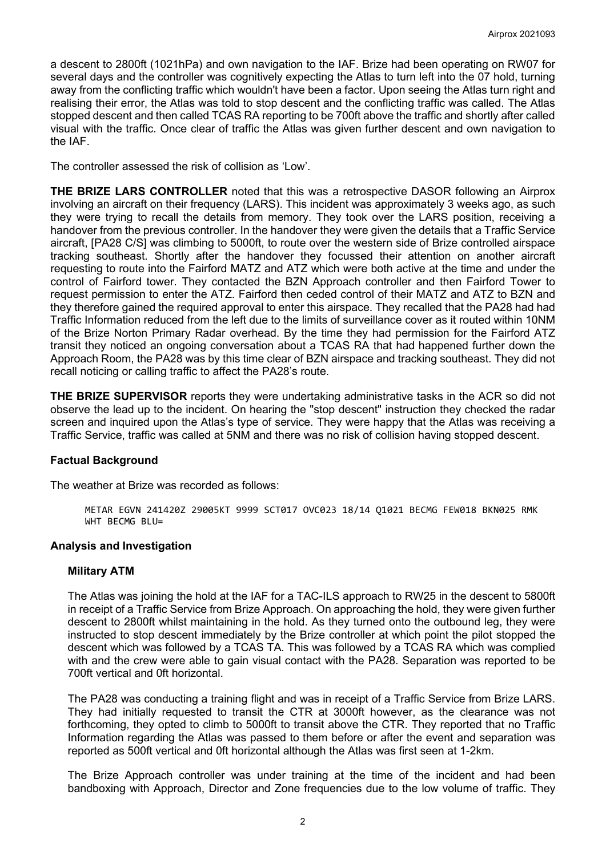a descent to 2800ft (1021hPa) and own navigation to the IAF. Brize had been operating on RW07 for several days and the controller was cognitively expecting the Atlas to turn left into the 07 hold, turning away from the conflicting traffic which wouldn't have been a factor. Upon seeing the Atlas turn right and realising their error, the Atlas was told to stop descent and the conflicting traffic was called. The Atlas stopped descent and then called TCAS RA reporting to be 700ft above the traffic and shortly after called visual with the traffic. Once clear of traffic the Atlas was given further descent and own navigation to the IAF.

The controller assessed the risk of collision as 'Low'.

**THE BRIZE LARS CONTROLLER** noted that this was a retrospective DASOR following an Airprox involving an aircraft on their frequency (LARS). This incident was approximately 3 weeks ago, as such they were trying to recall the details from memory. They took over the LARS position, receiving a handover from the previous controller. In the handover they were given the details that a Traffic Service aircraft, [PA28 C/S] was climbing to 5000ft, to route over the western side of Brize controlled airspace tracking southeast. Shortly after the handover they focussed their attention on another aircraft requesting to route into the Fairford MATZ and ATZ which were both active at the time and under the control of Fairford tower. They contacted the BZN Approach controller and then Fairford Tower to request permission to enter the ATZ. Fairford then ceded control of their MATZ and ATZ to BZN and they therefore gained the required approval to enter this airspace. They recalled that the PA28 had had Traffic Information reduced from the left due to the limits of surveillance cover as it routed within 10NM of the Brize Norton Primary Radar overhead. By the time they had permission for the Fairford ATZ transit they noticed an ongoing conversation about a TCAS RA that had happened further down the Approach Room, the PA28 was by this time clear of BZN airspace and tracking southeast. They did not recall noticing or calling traffic to affect the PA28's route.

**THE BRIZE SUPERVISOR** reports they were undertaking administrative tasks in the ACR so did not observe the lead up to the incident. On hearing the "stop descent" instruction they checked the radar screen and inquired upon the Atlas's type of service. They were happy that the Atlas was receiving a Traffic Service, traffic was called at 5NM and there was no risk of collision having stopped descent.

### **Factual Background**

The weather at Brize was recorded as follows:

METAR EGVN 241420Z 29005KT 9999 SCT017 OVC023 18/14 Q1021 BECMG FEW018 BKN025 RMK WHT BECMG BLU=

### **Analysis and Investigation**

### **Military ATM**

The Atlas was joining the hold at the IAF for a TAC-ILS approach to RW25 in the descent to 5800ft in receipt of a Traffic Service from Brize Approach. On approaching the hold, they were given further descent to 2800ft whilst maintaining in the hold. As they turned onto the outbound leg, they were instructed to stop descent immediately by the Brize controller at which point the pilot stopped the descent which was followed by a TCAS TA. This was followed by a TCAS RA which was complied with and the crew were able to gain visual contact with the PA28. Separation was reported to be 700ft vertical and 0ft horizontal.

The PA28 was conducting a training flight and was in receipt of a Traffic Service from Brize LARS. They had initially requested to transit the CTR at 3000ft however, as the clearance was not forthcoming, they opted to climb to 5000ft to transit above the CTR. They reported that no Traffic Information regarding the Atlas was passed to them before or after the event and separation was reported as 500ft vertical and 0ft horizontal although the Atlas was first seen at 1-2km.

The Brize Approach controller was under training at the time of the incident and had been bandboxing with Approach, Director and Zone frequencies due to the low volume of traffic. They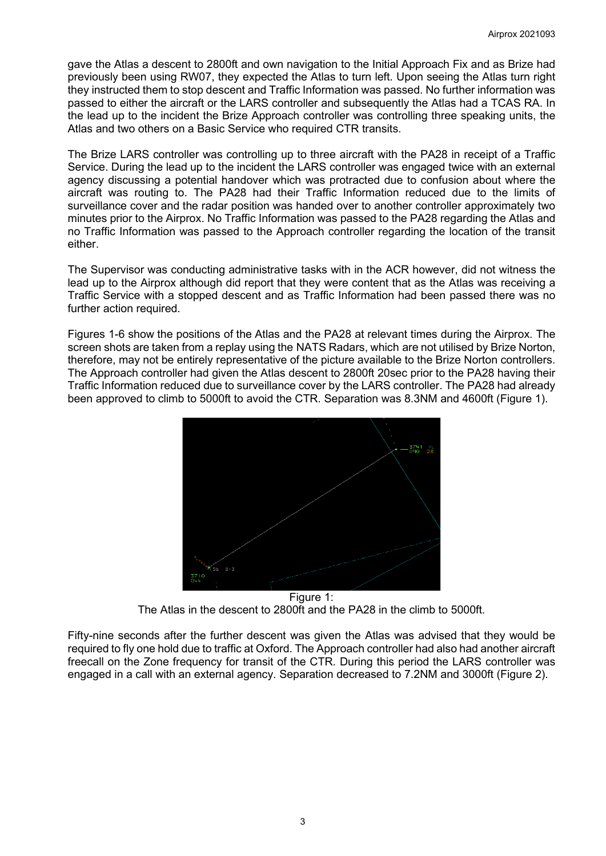gave the Atlas a descent to 2800ft and own navigation to the Initial Approach Fix and as Brize had previously been using RW07, they expected the Atlas to turn left. Upon seeing the Atlas turn right they instructed them to stop descent and Traffic Information was passed. No further information was passed to either the aircraft or the LARS controller and subsequently the Atlas had a TCAS RA. In the lead up to the incident the Brize Approach controller was controlling three speaking units, the Atlas and two others on a Basic Service who required CTR transits.

The Brize LARS controller was controlling up to three aircraft with the PA28 in receipt of a Traffic Service. During the lead up to the incident the LARS controller was engaged twice with an external agency discussing a potential handover which was protracted due to confusion about where the aircraft was routing to. The PA28 had their Traffic Information reduced due to the limits of surveillance cover and the radar position was handed over to another controller approximately two minutes prior to the Airprox. No Traffic Information was passed to the PA28 regarding the Atlas and no Traffic Information was passed to the Approach controller regarding the location of the transit either.

The Supervisor was conducting administrative tasks with in the ACR however, did not witness the lead up to the Airprox although did report that they were content that as the Atlas was receiving a Traffic Service with a stopped descent and as Traffic Information had been passed there was no further action required.

Figures 1-6 show the positions of the Atlas and the PA28 at relevant times during the Airprox. The screen shots are taken from a replay using the NATS Radars, which are not utilised by Brize Norton, therefore, may not be entirely representative of the picture available to the Brize Norton controllers. The Approach controller had given the Atlas descent to 2800ft 20sec prior to the PA28 having their Traffic Information reduced due to surveillance cover by the LARS controller. The PA28 had already been approved to climb to 5000ft to avoid the CTR. Separation was 8.3NM and 4600ft (Figure 1).



Figure 1: The Atlas in the descent to 2800ft and the PA28 in the climb to 5000ft.

Fifty-nine seconds after the further descent was given the Atlas was advised that they would be required to fly one hold due to traffic at Oxford. The Approach controller had also had another aircraft freecall on the Zone frequency for transit of the CTR. During this period the LARS controller was engaged in a call with an external agency. Separation decreased to 7.2NM and 3000ft (Figure 2).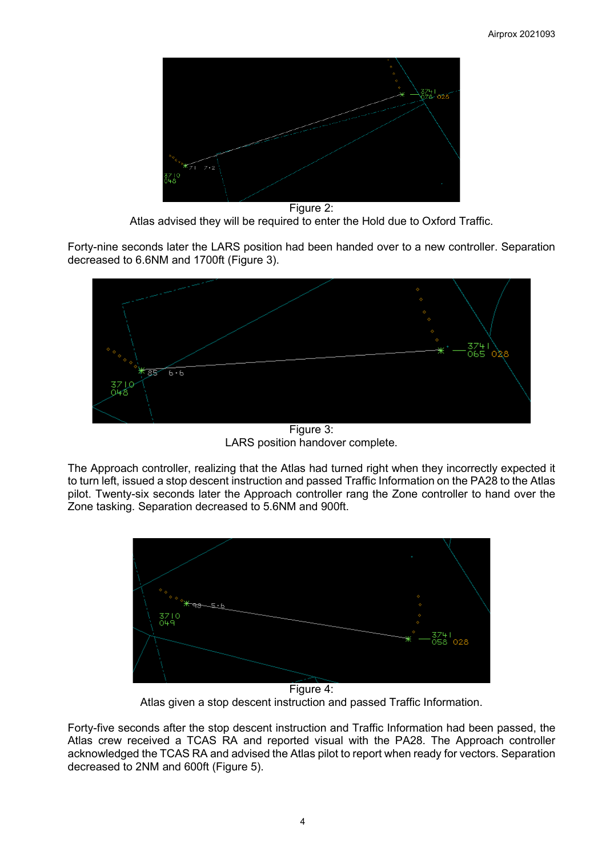

Figure 2: Atlas advised they will be required to enter the Hold due to Oxford Traffic.

Forty-nine seconds later the LARS position had been handed over to a new controller. Separation decreased to 6.6NM and 1700ft (Figure 3).



Figure 3: LARS position handover complete.

The Approach controller, realizing that the Atlas had turned right when they incorrectly expected it to turn left, issued a stop descent instruction and passed Traffic Information on the PA28 to the Atlas pilot. Twenty-six seconds later the Approach controller rang the Zone controller to hand over the Zone tasking. Separation decreased to 5.6NM and 900ft.



Atlas given a stop descent instruction and passed Traffic Information.

Forty-five seconds after the stop descent instruction and Traffic Information had been passed, the Atlas crew received a TCAS RA and reported visual with the PA28. The Approach controller acknowledged the TCAS RA and advised the Atlas pilot to report when ready for vectors. Separation decreased to 2NM and 600ft (Figure 5).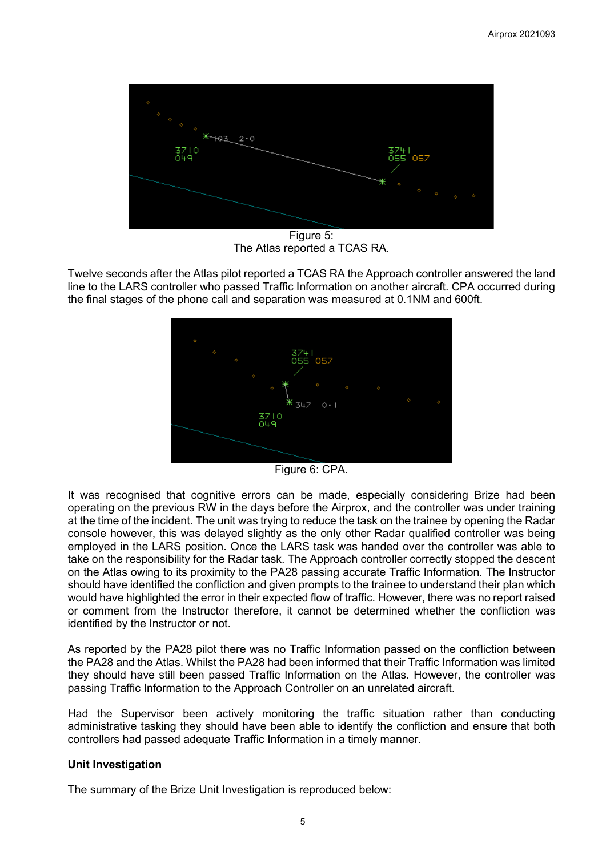

Figure 5: The Atlas reported a TCAS RA.

Twelve seconds after the Atlas pilot reported a TCAS RA the Approach controller answered the land line to the LARS controller who passed Traffic Information on another aircraft. CPA occurred during the final stages of the phone call and separation was measured at 0.1NM and 600ft.



Figure 6: CPA.

It was recognised that cognitive errors can be made, especially considering Brize had been operating on the previous RW in the days before the Airprox, and the controller was under training at the time of the incident. The unit was trying to reduce the task on the trainee by opening the Radar console however, this was delayed slightly as the only other Radar qualified controller was being employed in the LARS position. Once the LARS task was handed over the controller was able to take on the responsibility for the Radar task. The Approach controller correctly stopped the descent on the Atlas owing to its proximity to the PA28 passing accurate Traffic Information. The Instructor should have identified the confliction and given prompts to the trainee to understand their plan which would have highlighted the error in their expected flow of traffic. However, there was no report raised or comment from the Instructor therefore, it cannot be determined whether the confliction was identified by the Instructor or not.

As reported by the PA28 pilot there was no Traffic Information passed on the confliction between the PA28 and the Atlas. Whilst the PA28 had been informed that their Traffic Information was limited they should have still been passed Traffic Information on the Atlas. However, the controller was passing Traffic Information to the Approach Controller on an unrelated aircraft.

Had the Supervisor been actively monitoring the traffic situation rather than conducting administrative tasking they should have been able to identify the confliction and ensure that both controllers had passed adequate Traffic Information in a timely manner.

### **Unit Investigation**

The summary of the Brize Unit Investigation is reproduced below: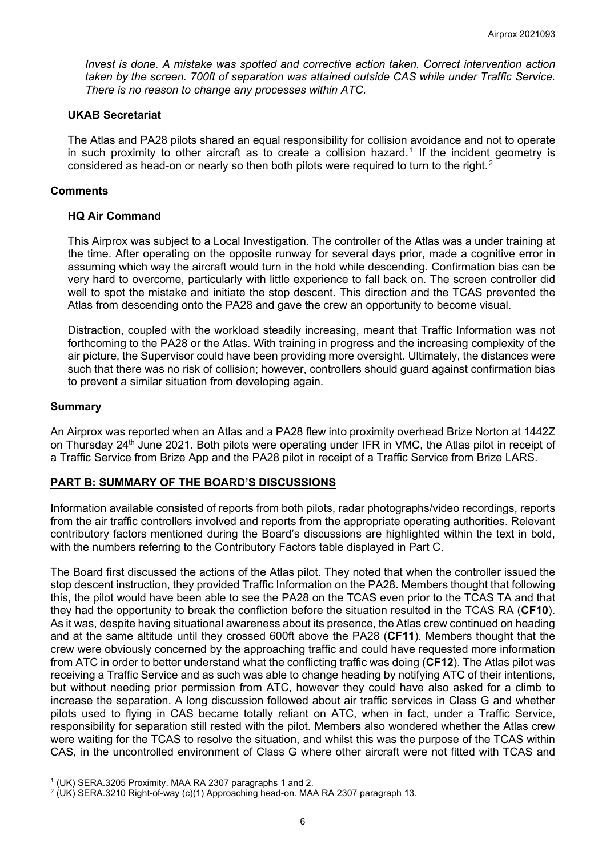*Invest is done. A mistake was spotted and corrective action taken. Correct intervention action taken by the screen. 700ft of separation was attained outside CAS while under Traffic Service. There is no reason to change any processes within ATC.*

#### **UKAB Secretariat**

The Atlas and PA28 pilots shared an equal responsibility for collision avoidance and not to operate in such proximity to other aircraft as to create a collision hazard.<sup>[1](#page-5-0)</sup> If the incident geometry is considered as head-on or nearly so then both pilots were required to turn to the right.<sup>[2](#page-5-1)</sup>

#### **Comments**

#### **HQ Air Command**

This Airprox was subject to a Local Investigation. The controller of the Atlas was a under training at the time. After operating on the opposite runway for several days prior, made a cognitive error in assuming which way the aircraft would turn in the hold while descending. Confirmation bias can be very hard to overcome, particularly with little experience to fall back on. The screen controller did well to spot the mistake and initiate the stop descent. This direction and the TCAS prevented the Atlas from descending onto the PA28 and gave the crew an opportunity to become visual.

Distraction, coupled with the workload steadily increasing, meant that Traffic Information was not forthcoming to the PA28 or the Atlas. With training in progress and the increasing complexity of the air picture, the Supervisor could have been providing more oversight. Ultimately, the distances were such that there was no risk of collision; however, controllers should guard against confirmation bias to prevent a similar situation from developing again.

#### **Summary**

An Airprox was reported when an Atlas and a PA28 flew into proximity overhead Brize Norton at 1442Z on Thursday 24<sup>th</sup> June 2021. Both pilots were operating under IFR in VMC, the Atlas pilot in receipt of a Traffic Service from Brize App and the PA28 pilot in receipt of a Traffic Service from Brize LARS.

### **PART B: SUMMARY OF THE BOARD'S DISCUSSIONS**

Information available consisted of reports from both pilots, radar photographs/video recordings, reports from the air traffic controllers involved and reports from the appropriate operating authorities. Relevant contributory factors mentioned during the Board's discussions are highlighted within the text in bold, with the numbers referring to the Contributory Factors table displayed in Part C.

The Board first discussed the actions of the Atlas pilot. They noted that when the controller issued the stop descent instruction, they provided Traffic Information on the PA28. Members thought that following this, the pilot would have been able to see the PA28 on the TCAS even prior to the TCAS TA and that they had the opportunity to break the confliction before the situation resulted in the TCAS RA (**CF10**). As it was, despite having situational awareness about its presence, the Atlas crew continued on heading and at the same altitude until they crossed 600ft above the PA28 (**CF11**). Members thought that the crew were obviously concerned by the approaching traffic and could have requested more information from ATC in order to better understand what the conflicting traffic was doing (**CF12**). The Atlas pilot was receiving a Traffic Service and as such was able to change heading by notifying ATC of their intentions, but without needing prior permission from ATC, however they could have also asked for a climb to increase the separation. A long discussion followed about air traffic services in Class G and whether pilots used to flying in CAS became totally reliant on ATC, when in fact, under a Traffic Service, responsibility for separation still rested with the pilot. Members also wondered whether the Atlas crew were waiting for the TCAS to resolve the situation, and whilst this was the purpose of the TCAS within CAS, in the uncontrolled environment of Class G where other aircraft were not fitted with TCAS and

<span id="page-5-0"></span><sup>1</sup> (UK) SERA.3205 Proximity. MAA RA 2307 paragraphs 1 and 2.

<span id="page-5-1"></span><sup>2</sup> (UK) SERA.3210 Right-of-way (c)(1) Approaching head-on. MAA RA 2307 paragraph 13.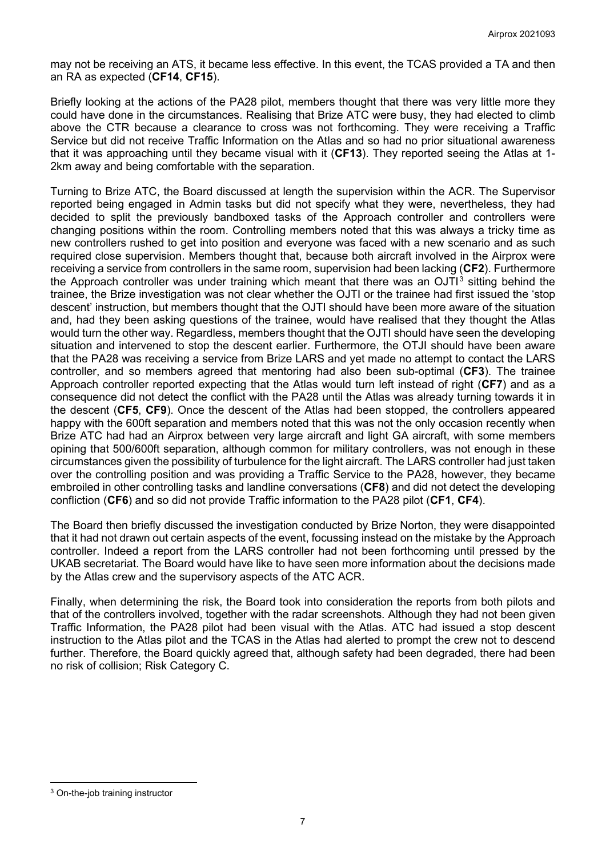may not be receiving an ATS, it became less effective. In this event, the TCAS provided a TA and then an RA as expected (**CF14**, **CF15**).

Briefly looking at the actions of the PA28 pilot, members thought that there was very little more they could have done in the circumstances. Realising that Brize ATC were busy, they had elected to climb above the CTR because a clearance to cross was not forthcoming. They were receiving a Traffic Service but did not receive Traffic Information on the Atlas and so had no prior situational awareness that it was approaching until they became visual with it (**CF13**). They reported seeing the Atlas at 1- 2km away and being comfortable with the separation.

Turning to Brize ATC, the Board discussed at length the supervision within the ACR. The Supervisor reported being engaged in Admin tasks but did not specify what they were, nevertheless, they had decided to split the previously bandboxed tasks of the Approach controller and controllers were changing positions within the room. Controlling members noted that this was always a tricky time as new controllers rushed to get into position and everyone was faced with a new scenario and as such required close supervision. Members thought that, because both aircraft involved in the Airprox were receiving a service from controllers in the same room, supervision had been lacking (**CF2**). Furthermore the Approach controller was under training which meant that there was an  $OJT<sup>3</sup>$  $OJT<sup>3</sup>$  $OJT<sup>3</sup>$  sitting behind the trainee, the Brize investigation was not clear whether the OJTI or the trainee had first issued the 'stop descent' instruction, but members thought that the OJTI should have been more aware of the situation and, had they been asking questions of the trainee, would have realised that they thought the Atlas would turn the other way. Regardless, members thought that the OJTI should have seen the developing situation and intervened to stop the descent earlier. Furthermore, the OTJI should have been aware that the PA28 was receiving a service from Brize LARS and yet made no attempt to contact the LARS controller, and so members agreed that mentoring had also been sub-optimal (**CF3**). The trainee Approach controller reported expecting that the Atlas would turn left instead of right (**CF7**) and as a consequence did not detect the conflict with the PA28 until the Atlas was already turning towards it in the descent (**CF5**, **CF9**). Once the descent of the Atlas had been stopped, the controllers appeared happy with the 600ft separation and members noted that this was not the only occasion recently when Brize ATC had had an Airprox between very large aircraft and light GA aircraft, with some members opining that 500/600ft separation, although common for military controllers, was not enough in these circumstances given the possibility of turbulence for the light aircraft. The LARS controller had just taken over the controlling position and was providing a Traffic Service to the PA28, however, they became embroiled in other controlling tasks and landline conversations (**CF8**) and did not detect the developing confliction (**CF6**) and so did not provide Traffic information to the PA28 pilot (**CF1**, **CF4**).

The Board then briefly discussed the investigation conducted by Brize Norton, they were disappointed that it had not drawn out certain aspects of the event, focussing instead on the mistake by the Approach controller. Indeed a report from the LARS controller had not been forthcoming until pressed by the UKAB secretariat. The Board would have like to have seen more information about the decisions made by the Atlas crew and the supervisory aspects of the ATC ACR.

Finally, when determining the risk, the Board took into consideration the reports from both pilots and that of the controllers involved, together with the radar screenshots. Although they had not been given Traffic Information, the PA28 pilot had been visual with the Atlas. ATC had issued a stop descent instruction to the Atlas pilot and the TCAS in the Atlas had alerted to prompt the crew not to descend further. Therefore, the Board quickly agreed that, although safety had been degraded, there had been no risk of collision; Risk Category C.

<span id="page-6-0"></span><sup>3</sup> On-the-job training instructor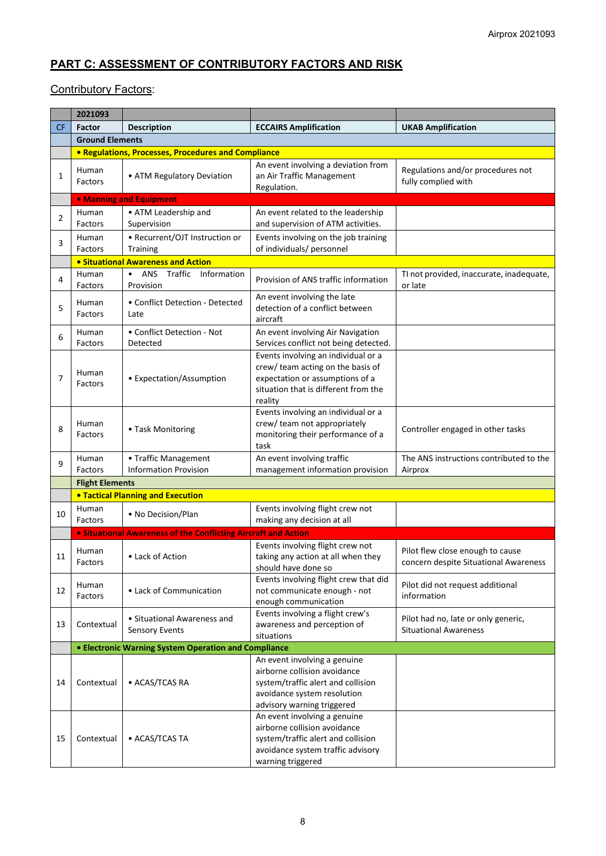# **PART C: ASSESSMENT OF CONTRIBUTORY FACTORS AND RISK**

## **Contributory Factors:**

|           | 2021093                                   |                                                                       |                                                                                                                                                                 |                                                                           |  |  |  |
|-----------|-------------------------------------------|-----------------------------------------------------------------------|-----------------------------------------------------------------------------------------------------------------------------------------------------------------|---------------------------------------------------------------------------|--|--|--|
| <b>CF</b> | <b>Factor</b>                             | <b>Description</b>                                                    | <b>ECCAIRS Amplification</b>                                                                                                                                    | <b>UKAB Amplification</b>                                                 |  |  |  |
|           | <b>Ground Elements</b>                    |                                                                       |                                                                                                                                                                 |                                                                           |  |  |  |
|           |                                           | • Regulations, Processes, Procedures and Compliance                   |                                                                                                                                                                 |                                                                           |  |  |  |
| 1         | Human<br>Factors                          | • ATM Regulatory Deviation                                            | An event involving a deviation from<br>an Air Traffic Management<br>Regulation.                                                                                 | Regulations and/or procedures not<br>fully complied with                  |  |  |  |
|           |                                           | • Manning and Equipment                                               |                                                                                                                                                                 |                                                                           |  |  |  |
| 2         | Human<br>Factors                          | • ATM Leadership and<br>Supervision                                   | An event related to the leadership<br>and supervision of ATM activities.                                                                                        |                                                                           |  |  |  |
| 3         | Human<br>Factors                          | • Recurrent/OJT Instruction or<br><b>Training</b>                     | Events involving on the job training<br>of individuals/ personnel                                                                                               |                                                                           |  |  |  |
|           | <b>.</b> Situational Awareness and Action |                                                                       |                                                                                                                                                                 |                                                                           |  |  |  |
| 4         | Human<br>Factors                          | ANS Traffic Information<br>$\bullet$<br>Provision                     | Provision of ANS traffic information                                                                                                                            | TI not provided, inaccurate, inadequate,<br>or late                       |  |  |  |
| 5         | Human<br>Factors                          | • Conflict Detection - Detected<br>Late                               | An event involving the late<br>detection of a conflict between<br>aircraft                                                                                      |                                                                           |  |  |  |
| 6         | Human<br>Factors                          | • Conflict Detection - Not<br>Detected                                | An event involving Air Navigation<br>Services conflict not being detected.                                                                                      |                                                                           |  |  |  |
| 7         | Human<br>Factors                          | • Expectation/Assumption                                              | Events involving an individual or a<br>crew/ team acting on the basis of<br>expectation or assumptions of a<br>situation that is different from the<br>reality  |                                                                           |  |  |  |
| 8         | Human<br>Factors                          | • Task Monitoring                                                     | Events involving an individual or a<br>crew/ team not appropriately<br>monitoring their performance of a<br>task                                                | Controller engaged in other tasks                                         |  |  |  |
| 9         | Human<br>Factors                          | • Traffic Management<br><b>Information Provision</b>                  | An event involving traffic<br>management information provision                                                                                                  | The ANS instructions contributed to the<br>Airprox                        |  |  |  |
|           |                                           | <b>Flight Elements</b>                                                |                                                                                                                                                                 |                                                                           |  |  |  |
|           | <b>. Tactical Planning and Execution</b>  |                                                                       |                                                                                                                                                                 |                                                                           |  |  |  |
| 10        | Human<br>Factors                          | • No Decision/Plan                                                    | Events involving flight crew not<br>making any decision at all                                                                                                  |                                                                           |  |  |  |
|           |                                           | <b>.</b> Situational Awareness of the Conflicting Aircraft and Action |                                                                                                                                                                 |                                                                           |  |  |  |
| 11        | Human<br>Factors                          | • Lack of Action                                                      | Events involving flight crew not<br>taking any action at all when they<br>should have done so                                                                   | Pilot flew close enough to cause<br>concern despite Situational Awareness |  |  |  |
| 12        | Human<br>Factors                          | • Lack of Communication                                               | Events involving flight crew that did<br>not communicate enough - not<br>enough communication                                                                   | Pilot did not request additional<br>information                           |  |  |  |
| 13        | Contextual                                | • Situational Awareness and<br><b>Sensory Events</b>                  | Events involving a flight crew's<br>awareness and perception of<br>situations                                                                                   | Pilot had no, late or only generic,<br><b>Situational Awareness</b>       |  |  |  |
|           |                                           | • Electronic Warning System Operation and Compliance                  |                                                                                                                                                                 |                                                                           |  |  |  |
| 14        | Contextual                                | • ACAS/TCAS RA                                                        | An event involving a genuine<br>airborne collision avoidance<br>system/traffic alert and collision<br>avoidance system resolution<br>advisory warning triggered |                                                                           |  |  |  |
| 15        | Contextual                                | • ACAS/TCAS TA                                                        | An event involving a genuine<br>airborne collision avoidance<br>system/traffic alert and collision<br>avoidance system traffic advisory<br>warning triggered    |                                                                           |  |  |  |